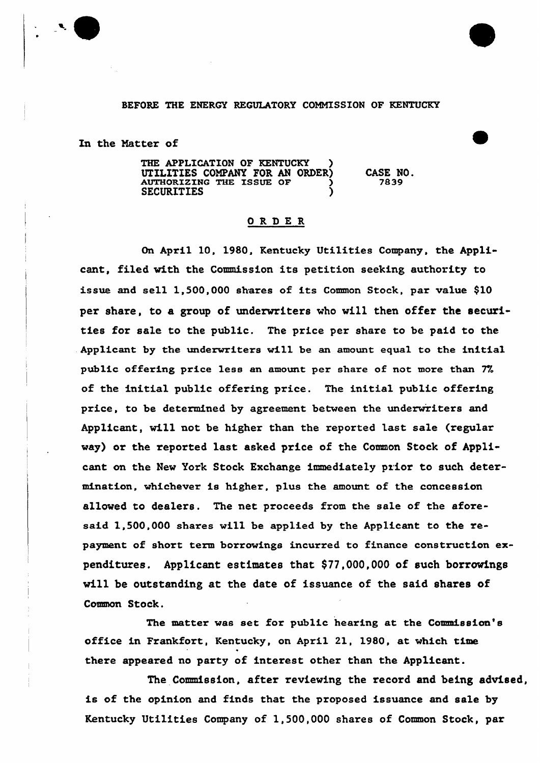## BEFORE THE ENERGY REGULATORY COMMISSION OF KENTUCKY

In the Matter of

THE APPLICATION OF KENTUCKY ) UTILITIES COMPANY FOR AN ORDER)<br>AUTHORIZING THE ISSUE OF ) **SECURITIES** CASE NO. 7839

## ORDER

On April 10, 1980, Kentucky Utilities Company, the Applicant, filed with the Commission its petition seeking authority to issue and sell 1,500,000 shares of its Common Stock, par value \$10 per share, to a group of underwriters who will then offer the securities for sale to the public. The price per share to be paid to the . Applicant by the underwriters will be an amount equal to the initial public offering price less an amount per share of not more than 77. of the initial public offering price. The initial public offering price, to be determined by agreement between the underwriters and Applicant, will not be higher than the reported last sale (regular way) or the reported last asked price of the Common Stock of Applicant on the New York Stock Exchange immediately prior to such determination, whichever is higher, plus the amount of the concession allowed to dealers. The net proceeds from the sale of the aforesaid 1,500,000 shares will be applied by the Applicant to the repayment of short term borrowings incurred to finance construction expenditures. Applicant estimates that \$77,000,000 of such borrowings will be outstanding at the date of issuance of the said shares of Common Stock.

The matter was set for public hearing at the Commission's office in Frankfort, Kentucky, on April 21, 1980, at which time there appeared no party of interest other than the Applicant.

The Commission, after reviewing the record and being advised, is of the opinion and finds that the proposed issuance and sale by Kentucky Utilities Company of 1,500,000 shares of Common Stock, par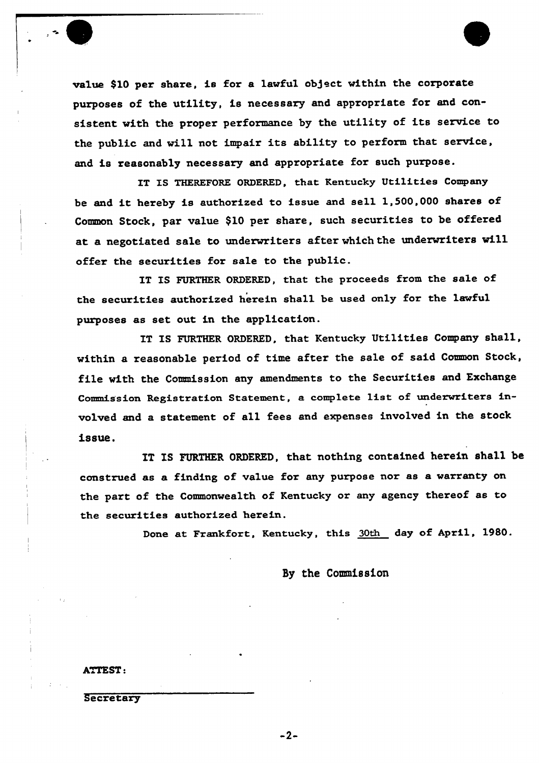value \$10 per share, is for a lawful object within the corporate purposes of the utility, ie necessary and appropriate for and consistent with the proper performance by the utility of its service to the public and will not impair its ability to perform that service, and is reasonably necessary and appropriate for such purpose.

IT IS THEREFORE ORDERED, that Kentucky Utilities Company be and it hereby is authorized to issue and sell 1,500,000 shares of Common Stock, par value \$10 per share, such securities to be offered at a negotiated sale to underwriters after which the underwriters will offer the securities for sale to the public.

IT IS FURTHER ORDERED, that the proceeds from the sale of the securities authorized herein shall be used only for the lawful purposes as set out in the application.

IT IS FURTHER ORDERED, that Kentucky Utilities Company shall, within a reasonable period of time after the sale of said Common Stock, file with the Commission any amendments to the Securities and Exchange Commission Registration Statement, a complete list of underwriters involved and a statement of all fees and expenses involved in the stock issue.

IT IS FURTHER ORDERED, that nothing contained herein shall be construed as a finding of value for any purpose nor as a warranty on the part of the Commonwealth of Kentucky or any agency thereof as to the securities authorized herein.

Done at Frankfort, Kentucky, this 30th day of April, 1980.

By the Commission

ATTEST.

**Secretary** 

 $-2-$